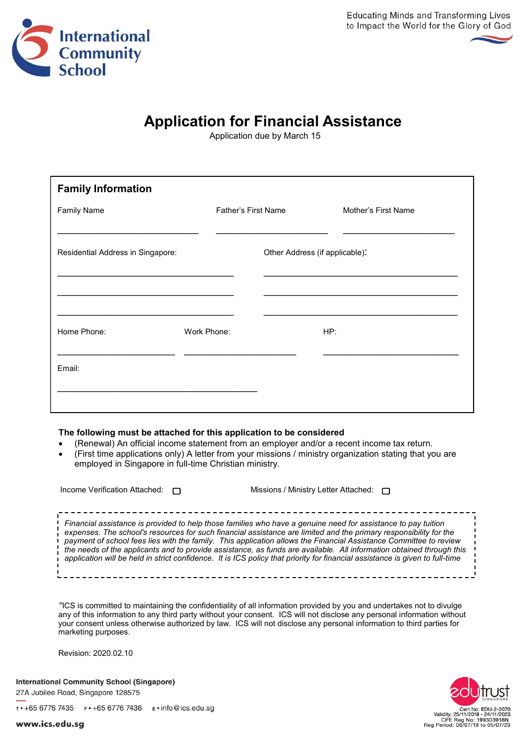

## **Application for Financial Assistance**

Application due by March 15

| <b>Family Information</b>         |             |                     |                                |     |                     |
|-----------------------------------|-------------|---------------------|--------------------------------|-----|---------------------|
| <b>Family Name</b>                |             | Father's First Name |                                |     | Mother's First Name |
| Residential Address in Singapore: |             |                     | Other Address (if applicable): |     |                     |
|                                   |             |                     |                                |     |                     |
|                                   |             |                     |                                |     |                     |
| Home Phone:                       | Work Phone: |                     |                                | HP: |                     |
| Email:                            |             |                     |                                |     |                     |
|                                   |             |                     |                                |     |                     |

## **The following must be attached for this application to be considered**

- (Renewal) An official income statement from an employer and/or a recent income tax return.
- (First time applications only) A letter from your missions / ministry organization stating that you are employed in Singapore in full-time Christian ministry.

| Income Verification Attached: $\Box$ | Missions / Ministry Letter Attached: $\Box$                                                                                                                                                                                                                                                                                                                                                                                                                                                                                                                                                                     |
|--------------------------------------|-----------------------------------------------------------------------------------------------------------------------------------------------------------------------------------------------------------------------------------------------------------------------------------------------------------------------------------------------------------------------------------------------------------------------------------------------------------------------------------------------------------------------------------------------------------------------------------------------------------------|
|                                      | Financial assistance is provided to help those families who have a genuine need for assistance to pay tuition<br>expenses. The school's resources for such financial assistance are limited and the primary responsibility for the<br>payment of school fees lies with the family. This application allows the Financial Assistance Committee to review<br>the needs of the applicants and to provide assistance, as funds are available. All information obtained through this<br>application will be held in strict confidence. It is ICS policy that priority for financial assistance is given to full-time |

*"*ICS is committed to maintaining the confidentiality of all information provided by you and undertakes not to divulge any of this information to any third party without your consent. ICS will not disclose any personal information without your consent unless otherwise authorized by law. ICS will not disclose any personal information to third parties for marketing purposes.

Revision: 2020.02.10

**International Community School (Singapore)** 27A Jubilee Road, Singapore 128575



www.ics.edu.sg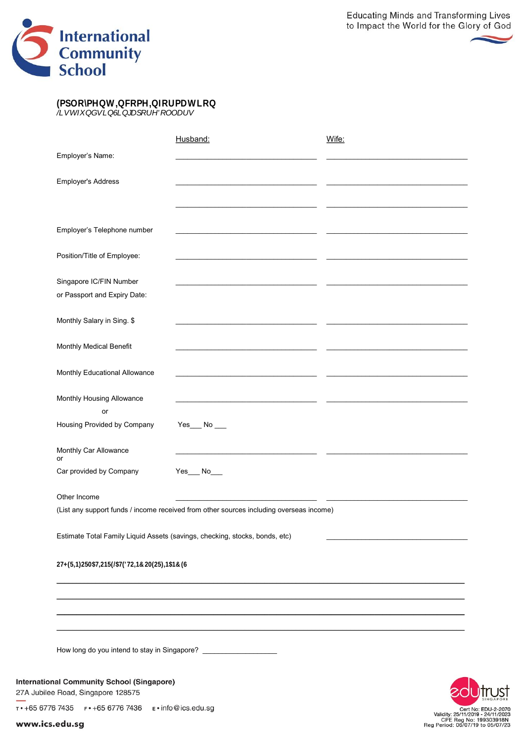



|                                                                                         | Husband:                                                                                                                                                                                                                             | Wife:                                                                                           |
|-----------------------------------------------------------------------------------------|--------------------------------------------------------------------------------------------------------------------------------------------------------------------------------------------------------------------------------------|-------------------------------------------------------------------------------------------------|
| Employer's Name:                                                                        |                                                                                                                                                                                                                                      |                                                                                                 |
| Employer's Address                                                                      |                                                                                                                                                                                                                                      |                                                                                                 |
|                                                                                         |                                                                                                                                                                                                                                      |                                                                                                 |
|                                                                                         |                                                                                                                                                                                                                                      |                                                                                                 |
| Employer's Telephone number                                                             | <u> 1980 - Andrea Andrew Maria (b. 19</u>                                                                                                                                                                                            |                                                                                                 |
| Position/Title of Employee:                                                             | <u> 1989 - Johann John Harry Harry Harry Harry Harry Harry Harry Harry Harry Harry Harry Harry Harry Harry Harry Harry Harry Harry Harry Harry Harry Harry Harry Harry Harry Harry Harry Harry Harry Harry Harry Harry Harry Har</u> |                                                                                                 |
| Singapore IC/FIN Number                                                                 | <u> 1980 - Andrea Andrew Maria (b. 19</u>                                                                                                                                                                                            |                                                                                                 |
| or Passport and Expiry Date:                                                            |                                                                                                                                                                                                                                      |                                                                                                 |
| Monthly Salary in Sing. \$                                                              |                                                                                                                                                                                                                                      |                                                                                                 |
| Monthly Medical Benefit                                                                 |                                                                                                                                                                                                                                      |                                                                                                 |
| Monthly Educational Allowance                                                           |                                                                                                                                                                                                                                      |                                                                                                 |
| Monthly Housing Allowance<br>or                                                         |                                                                                                                                                                                                                                      |                                                                                                 |
| Housing Provided by Company                                                             | $Yes$ <sub>___</sub> No ___                                                                                                                                                                                                          |                                                                                                 |
| Monthly Car Allowance<br>or                                                             |                                                                                                                                                                                                                                      |                                                                                                 |
| Car provided by Company                                                                 | Yes___ No___                                                                                                                                                                                                                         |                                                                                                 |
| Other Income                                                                            |                                                                                                                                                                                                                                      |                                                                                                 |
|                                                                                         | (List any support funds / income received from other sources including overseas income)                                                                                                                                              |                                                                                                 |
|                                                                                         | Estimate Total Family Liquid Assets (savings, checking, stocks, bonds, etc)                                                                                                                                                          |                                                                                                 |
|                                                                                         |                                                                                                                                                                                                                                      |                                                                                                 |
|                                                                                         |                                                                                                                                                                                                                                      |                                                                                                 |
|                                                                                         |                                                                                                                                                                                                                                      |                                                                                                 |
|                                                                                         |                                                                                                                                                                                                                                      |                                                                                                 |
| How long do you intend to stay in Singapore? ______________________                     |                                                                                                                                                                                                                                      |                                                                                                 |
| <b>International Community School (Singapore)</b><br>27A Jubilee Road, Singapore 128575 |                                                                                                                                                                                                                                      |                                                                                                 |
|                                                                                         |                                                                                                                                                                                                                                      | Cert No: EDU-2-2070                                                                             |
| www.ics.edu.sg                                                                          |                                                                                                                                                                                                                                      | Validity: 25/11/2019 - 24/11/2023<br>CPE Reg No: 199303918N<br>Reg Period: 06/07/19 to 05/07/23 |